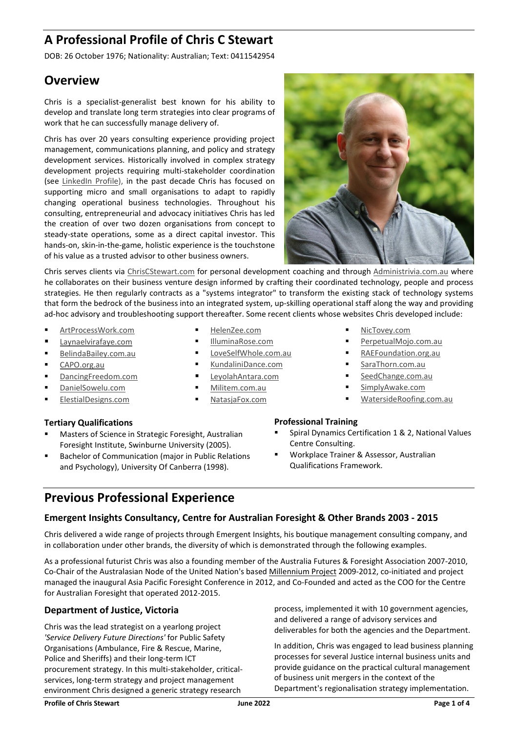# A Professional Profile of Chris C Stewart

DOB: 26 October 1976; Nationality: Australian; Text: 0411542954

## **Overview**

Chris is a specialist-generalist best known for his ability to develop and translate long term strategies into clear programs of work that he can successfully manage delivery of.

Chris has over 20 years consulting experience providing project management, communications planning, and policy and strategy development services. Historically involved in complex strategy development projects requiring multi-stakeholder coordination (see LinkedIn Profile), in the past decade Chris has focused on supporting micro and small organisations to adapt to rapidly changing operational business technologies. Throughout his consulting, entrepreneurial and advocacy initiatives Chris has led the creation of over two dozen organisations from concept to steady-state operations, some as a direct capital investor. This hands-on, skin-in-the-game, holistic experience is the touchstone of his value as a trusted advisor to other business owners.



Chris serves clients via ChrisCStewart.com for personal development coaching and through Administrivia.com.au where he collaborates on their business venture design informed by crafting their coordinated technology, people and process strategies. He then regularly contracts as a "systems integrator" to transform the existing stack of technology systems that form the bedrock of the business into an integrated system, up-skilling operational staff along the way and providing ad-hoc advisory and troubleshooting support thereafter. Some recent clients whose websites Chris developed include:

- ArtProcessWork.com
- Laynaelvirafaye.com
- BelindaBailey.com.au
- CAPO.org.au
- DancingFreedom.com
- DanielSowelu.com
- ElestialDesigns.com

## Tertiary Qualifications

- Masters of Science in Strategic Foresight, Australian Foresight Institute, Swinburne University (2005).
- Bachelor of Communication (major in Public Relations and Psychology), University Of Canberra (1998).
- HelenZee.com
- IlluminaRose.com
- LoveSelfWhole.com.au
- KundaliniDance.com
- LeyolahAntara.com
- Militem.com.au
- NatasjaFox.com

#### NicTovey.com

- PerpetualMojo.com.au
- RAEFoundation.org.au
- SaraThorn.com.au
- SeedChange.com.au
- SimplyAwake.com
- WatersideRoofing.com.au

## Professional Training

- Spiral Dynamics Certification 1 & 2, National Values Centre Consulting.
- Workplace Trainer & Assessor, Australian Qualifications Framework.

## Previous Professional Experience

## Emergent Insights Consultancy, Centre for Australian Foresight & Other Brands 2003 - 2015

Chris delivered a wide range of projects through Emergent Insights, his boutique management consulting company, and in collaboration under other brands, the diversity of which is demonstrated through the following examples.

As a professional futurist Chris was also a founding member of the Australia Futures & Foresight Association 2007-2010, Co-Chair of the Australasian Node of the United Nation's based Millennium Project 2009-2012, co-initiated and project managed the inaugural Asia Pacific Foresight Conference in 2012, and Co-Founded and acted as the COO for the Centre for Australian Foresight that operated 2012-2015.

## Department of Justice, Victoria

Chris was the lead strategist on a yearlong project 'Service Delivery Future Directions' for Public Safety Organisations (Ambulance, Fire & Rescue, Marine, Police and Sheriffs) and their long-term ICT procurement strategy. In this multi-stakeholder, criticalservices, long-term strategy and project management environment Chris designed a generic strategy research

process, implemented it with 10 government agencies, and delivered a range of advisory services and deliverables for both the agencies and the Department.

In addition, Chris was engaged to lead business planning processes for several Justice internal business units and provide guidance on the practical cultural management of business unit mergers in the context of the Department's regionalisation strategy implementation.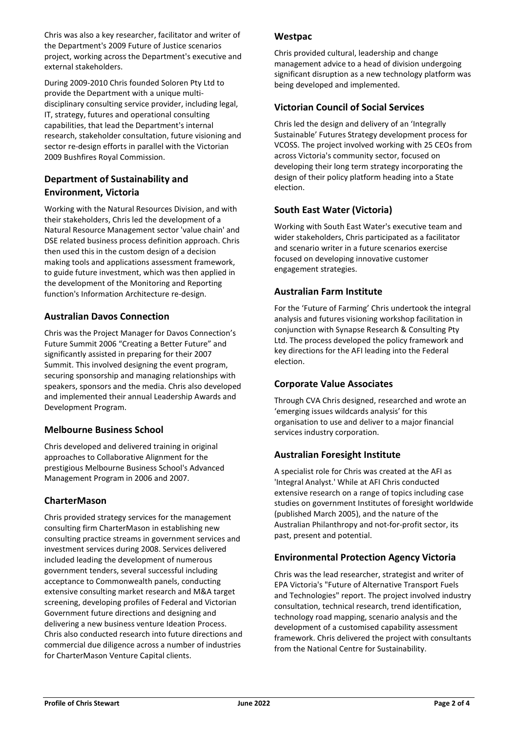Chris was also a key researcher, facilitator and writer of the Department's 2009 Future of Justice scenarios project, working across the Department's executive and external stakeholders.

During 2009-2010 Chris founded Soloren Pty Ltd to provide the Department with a unique multidisciplinary consulting service provider, including legal, IT, strategy, futures and operational consulting capabilities, that lead the Department's internal research, stakeholder consultation, future visioning and sector re-design efforts in parallel with the Victorian 2009 Bushfires Royal Commission.

## Department of Sustainability and Environment, Victoria

Working with the Natural Resources Division, and with their stakeholders, Chris led the development of a Natural Resource Management sector 'value chain' and DSE related business process definition approach. Chris then used this in the custom design of a decision making tools and applications assessment framework, to guide future investment, which was then applied in the development of the Monitoring and Reporting function's Information Architecture re-design.

## Australian Davos Connection

Chris was the Project Manager for Davos Connection's Future Summit 2006 "Creating a Better Future" and significantly assisted in preparing for their 2007 Summit. This involved designing the event program, securing sponsorship and managing relationships with speakers, sponsors and the media. Chris also developed and implemented their annual Leadership Awards and Development Program.

## Melbourne Business School

Chris developed and delivered training in original approaches to Collaborative Alignment for the prestigious Melbourne Business School's Advanced Management Program in 2006 and 2007.

## **CharterMason**

Chris provided strategy services for the management consulting firm CharterMason in establishing new consulting practice streams in government services and investment services during 2008. Services delivered included leading the development of numerous government tenders, several successful including acceptance to Commonwealth panels, conducting extensive consulting market research and M&A target screening, developing profiles of Federal and Victorian Government future directions and designing and delivering a new business venture Ideation Process. Chris also conducted research into future directions and commercial due diligence across a number of industries for CharterMason Venture Capital clients.

#### **Westpac**

Chris provided cultural, leadership and change management advice to a head of division undergoing significant disruption as a new technology platform was being developed and implemented.

## Victorian Council of Social Services

Chris led the design and delivery of an 'Integrally Sustainable' Futures Strategy development process for VCOSS. The project involved working with 25 CEOs from across Victoria's community sector, focused on developing their long term strategy incorporating the design of their policy platform heading into a State election.

## South East Water (Victoria)

Working with South East Water's executive team and wider stakeholders, Chris participated as a facilitator and scenario writer in a future scenarios exercise focused on developing innovative customer engagement strategies.

## Australian Farm Institute

For the 'Future of Farming' Chris undertook the integral analysis and futures visioning workshop facilitation in conjunction with Synapse Research & Consulting Pty Ltd. The process developed the policy framework and key directions for the AFI leading into the Federal election.

## Corporate Value Associates

Through CVA Chris designed, researched and wrote an 'emerging issues wildcards analysis' for this organisation to use and deliver to a major financial services industry corporation.

## Australian Foresight Institute

A specialist role for Chris was created at the AFI as 'Integral Analyst.' While at AFI Chris conducted extensive research on a range of topics including case studies on government Institutes of foresight worldwide (published March 2005), and the nature of the Australian Philanthropy and not-for-profit sector, its past, present and potential.

## Environmental Protection Agency Victoria

Chris was the lead researcher, strategist and writer of EPA Victoria's "Future of Alternative Transport Fuels and Technologies" report. The project involved industry consultation, technical research, trend identification, technology road mapping, scenario analysis and the development of a customised capability assessment framework. Chris delivered the project with consultants from the National Centre for Sustainability.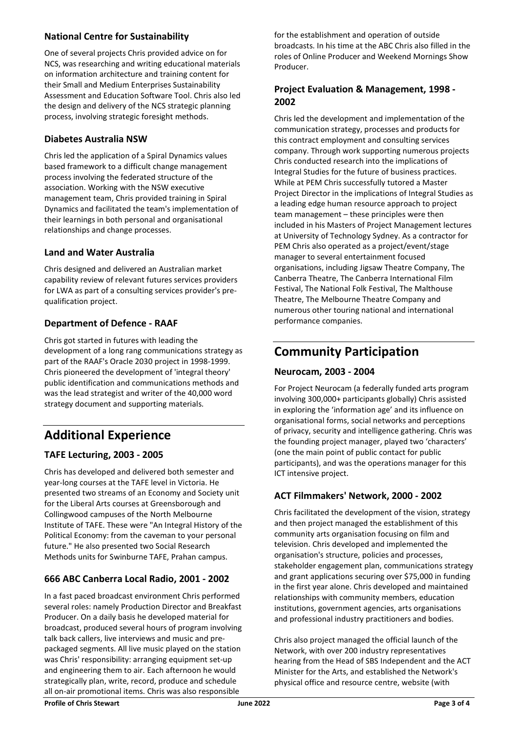## National Centre for Sustainability

One of several projects Chris provided advice on for NCS, was researching and writing educational materials on information architecture and training content for their Small and Medium Enterprises Sustainability Assessment and Education Software Tool. Chris also led the design and delivery of the NCS strategic planning process, involving strategic foresight methods.

## Diabetes Australia NSW

Chris led the application of a Spiral Dynamics values based framework to a difficult change management process involving the federated structure of the association. Working with the NSW executive management team, Chris provided training in Spiral Dynamics and facilitated the team's implementation of their learnings in both personal and organisational relationships and change processes.

## Land and Water Australia

Chris designed and delivered an Australian market capability review of relevant futures services providers for LWA as part of a consulting services provider's prequalification project.

## Department of Defence - RAAF

Chris got started in futures with leading the development of a long rang communications strategy as part of the RAAF's Oracle 2030 project in 1998-1999. Chris pioneered the development of 'integral theory' public identification and communications methods and was the lead strategist and writer of the 40,000 word strategy document and supporting materials.

## Additional Experience

## TAFE Lecturing, 2003 - 2005

Chris has developed and delivered both semester and year-long courses at the TAFE level in Victoria. He presented two streams of an Economy and Society unit for the Liberal Arts courses at Greensborough and Collingwood campuses of the North Melbourne Institute of TAFE. These were "An Integral History of the Political Economy: from the caveman to your personal future." He also presented two Social Research Methods units for Swinburne TAFE, Prahan campus.

## 666 ABC Canberra Local Radio, 2001 - 2002

In a fast paced broadcast environment Chris performed several roles: namely Production Director and Breakfast Producer. On a daily basis he developed material for broadcast, produced several hours of program involving talk back callers, live interviews and music and prepackaged segments. All live music played on the station was Chris' responsibility: arranging equipment set-up and engineering them to air. Each afternoon he would strategically plan, write, record, produce and schedule all on-air promotional items. Chris was also responsible

for the establishment and operation of outside broadcasts. In his time at the ABC Chris also filled in the roles of Online Producer and Weekend Mornings Show Producer.

## Project Evaluation & Management, 1998 - 2002

Chris led the development and implementation of the communication strategy, processes and products for this contract employment and consulting services company. Through work supporting numerous projects Chris conducted research into the implications of Integral Studies for the future of business practices. While at PEM Chris successfully tutored a Master Project Director in the implications of Integral Studies as a leading edge human resource approach to project team management – these principles were then included in his Masters of Project Management lectures at University of Technology Sydney. As a contractor for PEM Chris also operated as a project/event/stage manager to several entertainment focused organisations, including Jigsaw Theatre Company, The Canberra Theatre, The Canberra International Film Festival, The National Folk Festival, The Malthouse Theatre, The Melbourne Theatre Company and numerous other touring national and international performance companies.

## Community Participation

## Neurocam, 2003 - 2004

For Project Neurocam (a federally funded arts program involving 300,000+ participants globally) Chris assisted in exploring the 'information age' and its influence on organisational forms, social networks and perceptions of privacy, security and intelligence gathering. Chris was the founding project manager, played two 'characters' (one the main point of public contact for public participants), and was the operations manager for this ICT intensive project.

## ACT Filmmakers' Network, 2000 - 2002

Chris facilitated the development of the vision, strategy and then project managed the establishment of this community arts organisation focusing on film and television. Chris developed and implemented the organisation's structure, policies and processes, stakeholder engagement plan, communications strategy and grant applications securing over \$75,000 in funding in the first year alone. Chris developed and maintained relationships with community members, education institutions, government agencies, arts organisations and professional industry practitioners and bodies.

Chris also project managed the official launch of the Network, with over 200 industry representatives hearing from the Head of SBS Independent and the ACT Minister for the Arts, and established the Network's physical office and resource centre, website (with